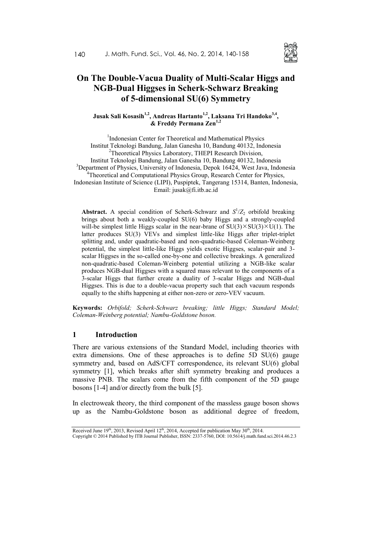

# **On The Double-Vacua Duality of Multi-Scalar Higgs and NGB-Dual Higgses in Scherk-Schwarz Breaking of 5-dimensional SU(6) Symmetry**

**Jusak Sali Kosasih1,2, Andreas Hartanto1,2, Laksana Tri Handoko3,4 , & Freddy Permana Zen1,2**

<sup>1</sup>Indonesian Center for Theoretical and Mathematical Physics Institut Teknologi Bandung, Jalan Ganesha 10, Bandung 40132, Indonesia <sup>2</sup>Theoretical Physics Laboratory, THEPI Research Division, Institut Teknologi Bandung, Jalan Ganesha 10, Bandung 40132, Indonesia <sup>3</sup>Department of Physics, University of Indonesia, Depok 16424, West Java, Indonesia <sup>4</sup>Theoretical and Computational Physics Group, Research Center for Physics, Indonesian Institute of Science (LIPI), Puspiptek, Tangerang 15314, Banten, Indonesia, Email: jusak@fi.itb.ac.id

**Abstract.** A special condition of Scherk-Schwarz and  $S^1/Z_2$  orbifold breaking brings about both a weakly-coupled SU(6) baby Higgs and a strongly-coupled will-be simplest little Higgs scalar in the near-brane of  $SU(3) \times SU(3) \times U(1)$ . The latter produces SU(3) VEVs and simplest little-like Higgs after triplet-triplet splitting and, under quadratic-based and non-quadratic-based Coleman-Weinberg potential, the simplest little-like Higgs yields exotic Higgses, scalar-pair and 3 scalar Higgses in the so-called one-by-one and collective breakings. A generalized non-quadratic-based Coleman-Weinberg potential utilizing a NGB-like scalar produces NGB-dual Higgses with a squared mass relevant to the components of a 3-scalar Higgs that further create a duality of 3-scalar Higgs and NGB-dual Higgses. This is due to a double-vacua property such that each vacuum responds equally to the shifts happening at either non-zero or zero-VEV vacuum.

**Keywords:** *Orbifold; Scherk-Schwarz breaking; little Higgs; Standard Model; Coleman-Weinberg potential; Nambu-Goldstone boson.*

### **1 Introduction**

There are various extensions of the Standard Model, including theories with extra dimensions. One of these approaches is to define  $5D SU(6)$  gauge symmetry and, based on AdS/CFT correspondence, its relevant SU(6) global symmetry [1], which breaks after shift symmetry breaking and produces a massive PNB. The scalars come from the fifth component of the 5D gauge bosons [1-4] and/or directly from the bulk [5].

In electroweak theory, the third component of the massless gauge boson shows up as the Nambu-Goldstone boson as additional degree of freedom,

Received June  $19<sup>th</sup>$ , 2013, Revised April  $12<sup>th</sup>$ , 2014, Accepted for publication May  $30<sup>th</sup>$ , 2014. Copyright © 2014 Published by ITB Journal Publisher, ISSN: 2337-5760, DOI: 10.5614/j.math.fund.sci.2014.46.2.3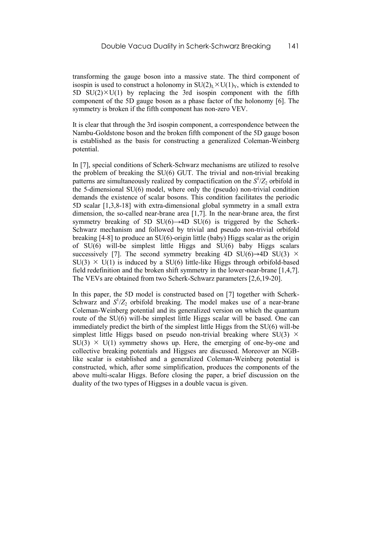transforming the gauge boson into a massive state. The third component of isospin is used to construct a holonomy in  $SU(2)_L \times U(1)_Y$ , which is extended to 5D  $SU(2) \times U(1)$  by replacing the 3rd isospin component with the fifth component of the 5D gauge boson as a phase factor of the holonomy [6]. The symmetry is broken if the fifth component has non-zero VEV.

It is clear that through the 3rd isospin component, a correspondence between the Nambu-Goldstone boson and the broken fifth component of the 5D gauge boson is established as the basis for constructing a generalized Coleman-Weinberg potential.

In [7], special conditions of Scherk-Schwarz mechanisms are utilized to resolve the problem of breaking the SU(6) GUT. The trivial and non-trivial breaking patterns are simultaneously realized by compactification on the *S* 1 /*Z*<sup>2</sup> orbifold in the 5-dimensional SU(6) model, where only the (pseudo) non-trivial condition demands the existence of scalar bosons. This condition facilitates the periodic 5D scalar [1,3,8-18] with extra-dimensional global symmetry in a small extra dimension, the so-called near-brane area [1,7]. In the near-brane area, the first symmetry breaking of 5D SU(6) $\rightarrow$ 4D SU(6) is triggered by the Scherk-Schwarz mechanism and followed by trivial and pseudo non-trivial orbifold breaking [4-8] to produce an SU(6)-origin little (baby) Higgs scalar as the origin of SU(6) will-be simplest little Higgs and SU(6) baby Higgs scalars successively [7]. The second symmetry breaking 4D SU(6) $\rightarrow$ 4D SU(3)  $\times$  $SU(3) \times U(1)$  is induced by a  $SU(6)$  little-like Higgs through orbifold-based field redefinition and the broken shift symmetry in the lower-near-brane [1,4,7]. The VEVs are obtained from two Scherk-Schwarz parameters [2,6,19-20].

In this paper, the 5D model is constructed based on [7] together with Scherk-Schwarz and  $S^1/Z_2$  orbifold breaking. The model makes use of a near-brane Coleman-Weinberg potential and its generalized version on which the quantum route of the SU(6) will-be simplest little Higgs scalar will be based. One can immediately predict the birth of the simplest little Higgs from the SU(6) will-be simplest little Higgs based on pseudo non-trivial breaking where  $SU(3)$   $\times$  $SU(3) \times U(1)$  symmetry shows up. Here, the emerging of one-by-one and collective breaking potentials and Higgses are discussed. Moreover an NGBlike scalar is established and a generalized Coleman-Weinberg potential is constructed, which, after some simplification, produces the components of the above multi-scalar Higgs. Before closing the paper, a brief discussion on the duality of the two types of Higgses in a double vacua is given.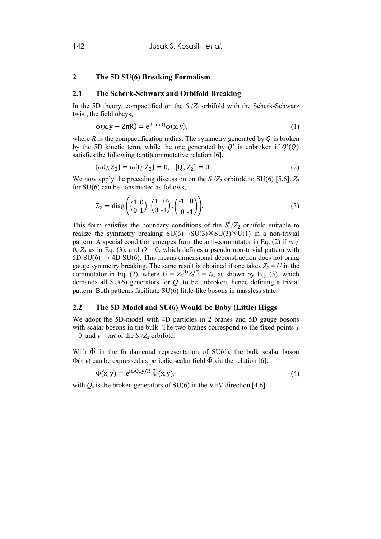# **2 The 5D SU(6) Breaking Formalism**

#### **2.1 The Scherk-Schwarz and Orbifold Breaking**

In the 5D theory, compactified on the  $S^1/Z_2$  orbifold with the Scherk-Schwarz twist, the field obeys,

$$
\Phi(x, y + 2\pi R) = e^{2i\pi\omega Q} \Phi(x, y),\tag{1}
$$

where  $R$  is the compactification radius. The symmetry generated by  $Q$  is broken by the 5D kinetic term, while the one generated by  $Q'$  is unbroken if  $Q'(Q)$ satisfies the following (anti)commutative relation [6],

$$
\{\omega Q, Z_2\} = \omega \{Q, Z_2\} = 0, \quad [Q', Z_2] = 0. \tag{2}
$$

We now apply the preceding discussion on the  $S^1/Z_2$  orbifold to SU(6) [5,6].  $Z_2$ for SU(6) can be constructed as follows,

$$
Z_2 = \text{diag}\left( \begin{pmatrix} 1 & 0 \\ 0 & 1 \end{pmatrix}, \begin{pmatrix} 1 & 0 \\ 0 & -1 \end{pmatrix}, \begin{pmatrix} -1 & 0 \\ 0 & -1 \end{pmatrix} \right).
$$
 (3)

This form satisfies the boundary conditions of the  $S^1/Z_2$  orbifold suitable to realize the symmetry breaking  $SU(6) \rightarrow SU(3) \times SU(3) \times U(1)$  in a non-trivial pattern. A special condition emerges from the anti-commutator in Eq. (2) if  $\omega \neq$ 0,  $Z_2$  as in Eq. (3), and  $Q = 0$ , which defines a pseudo non-trivial pattern with 5D  $SU(6) \rightarrow 4D SU(6)$ . This means dimensional deconstruction does not bring gauge symmetry breaking. The same result is obtained if one takes  $Z_2 = U$  in the commutator in Eq. (2), where  $U = Z_2^{(1)}Z_2^{(2)} = I_6$ , as shown by Eq. (3), which demands all SU(6) generators for *Q'* to be unbroken, hence defining a trivial pattern. Both patterns facilitate SU(6) little-like bosons in massless state.

## **2.2 The 5D-Model and SU(6) Would-be Baby (Little) Higgs**

We adopt the 5D-model with 4D particles in 2 branes and 5D gauge bosons with scalar bosons in the bulk. The two branes correspond to the fixed points *y*  $= 0$  and  $y = \pi R$  of the  $S^1/Z_2$  orbifold.

With  $\tilde{\Phi}$  in the fundamental representation of SU(6), the bulk scalar boson  $\Phi(x, y)$  can be expressed as periodic scalar field  $\tilde{\Phi}$  via the relation [6],

$$
\Phi(x, y) = e^{i\omega Q_v y/R} \, \widetilde{\Phi}(x, y), \tag{4}
$$

with  $Q_v$  is the broken generators of SU(6) in the VEV direction [4,6].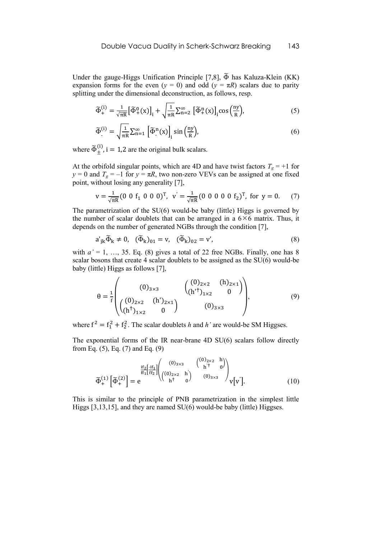Under the gauge-Higgs Unification Principle [7,8],  $\widetilde{\Phi}$  has Kaluza-Klein (KK) expansion forms for the even ( $y = 0$ ) and odd ( $y = \pi R$ ) scalars due to parity splitting under the dimensional deconstruction, as follows, resp.

$$
\widetilde{\Phi}_{+}^{(i)} = \frac{1}{\sqrt{\pi R}} \left[ \widetilde{\Phi}_{+}^{0}(x) \right]_{i} + \sqrt{\frac{1}{\pi R}} \sum_{n=2}^{\infty} \left[ \widetilde{\Phi}_{+}^{n}(x) \right]_{i} \cos\left(\frac{ny}{R}\right),\tag{5}
$$

$$
\widetilde{\Phi}_{.}^{(i)} = \sqrt{\frac{1}{\pi \mathcal{R}}} \sum_{n=1}^{\infty} \left[ \widetilde{\Phi}_{.}^{n}(x) \right]_{i} \sin \left( \frac{ny}{\mathcal{R}} \right),\tag{6}
$$

where  $\widetilde{\Phi}_{\pm}^{(1)}$  $_{+}^{(i)}$ , i = 1,2 are the original bulk scalars.

At the orbifold singular points, which are 4D and have twist factors  $T_g = +1$  for  $y = 0$  and  $T_g = -1$  for  $y = \pi R$ , two non-zero VEVs can be assigned at one fixed point, without losing any generality [7],

$$
v = \frac{1}{\sqrt{\pi R}} (0 \ 0 \ f_1 \ 0 \ 0 \ 0)^T, \ v = \frac{1}{\sqrt{\pi R}} (0 \ 0 \ 0 \ 0 \ 0 \ f_2)^T, \text{ for } y = 0. \tag{7}
$$

The parametrization of the SU(6) would-be baby (little) Higgs is governed by the number of scalar doublets that can be arranged in a  $6\times6$  matrix. Thus, it depends on the number of generated NGBs through the condition [7],

$$
a'_{jk}\widetilde{\Phi}_k \neq 0, \quad (\widetilde{\Phi}_k)_{01} = v, \quad (\widetilde{\Phi}_k)_{02} = v', \tag{8}
$$

with  $a' = 1, \ldots, 35$ . Eq. (8) gives a total of 22 free NGBs. Finally, one has 8 scalar bosons that create 4 scalar doublets to be assigned as the SU(6) would-be baby (little) Higgs as follows [7],

$$
\theta = \frac{1}{f} \begin{pmatrix} (0)_{3\times 3} & \begin{pmatrix} (0)_{2\times 2} & (h)_{2\times 1} \\ (h^{\dagger})_{1\times 2} & 0 \end{pmatrix} \\ \begin{pmatrix} (0)_{2\times 2} & (h^{\dagger})_{2\times 1} \\ (h^{\dagger})_{1\times 2} & 0 \end{pmatrix}, \end{pmatrix}, \tag{9}
$$

where  $f^2 = f_1^2 + f_2^2$ . The scalar doublets *h* and *h'* are would-be SM Higgses.

The exponential forms of the IR near-brane 4D SU(6) scalars follow directly from Eq. (5), Eq. (7) and Eq. (9)

$$
\widetilde{\Phi}_{+}^{(1)}\left[\widetilde{\Phi}_{+}^{(2)}\right] = e^{\frac{i f_{2}\left[i f_{1}\right]}{f_{1}}\left(\begin{pmatrix} (0)_{3\times 3} & \binom{(0)_{2\times 2} & h}{h^{+}} \\ (0)_{2\times 2} & h^{'} \end{pmatrix} \begin{pmatrix} h^{+} & 0 \\ 0 & h^{+} \end{pmatrix}\right) V\left[v^{'}\right].
$$
\n(10)

This is similar to the principle of PNB parametrization in the simplest little Higgs [3,13,15], and they are named SU(6) would-be baby (little) Higgses.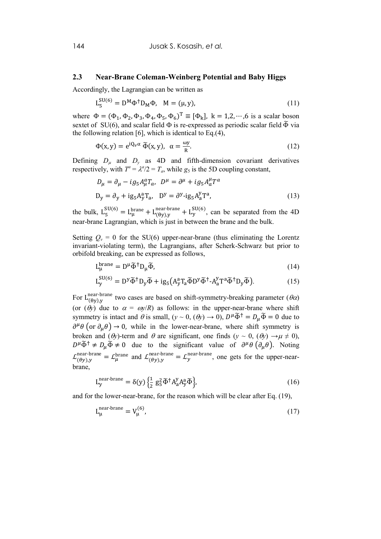## **2.3 Near-Brane Coleman-Weinberg Potential and Baby Higgs**

Accordingly, the Lagrangian can be written as

$$
L_5^{\text{SU(6)}} = D^{\text{M}} \Phi^{\dagger} D_{\text{M}} \Phi, \quad M = (\mu, y), \tag{11}
$$

where  $\Phi = (\Phi_1, \Phi_2, \Phi_3, \Phi_4, \Phi_5, \Phi_6)^T \equiv [\Phi_k]$ ,  $k = 1, 2, \dots, 6$  is a scalar boson sextet of SU(6), and scalar field  $\Phi$  is re-expressed as periodic scalar field  $\tilde{\Phi}$  via the following relation [6], which is identical to Eq.(4),

$$
\Phi(x, y) = e^{iQ_V \alpha} \, \widetilde{\Phi}(x, y), \, \alpha = \frac{\omega y}{R}.
$$
\n(12)

Defining  $D_{\mu}$  and  $D_{\nu}$  as 4D and fifth-dimension covariant derivatives respectively, with  $T^a = \lambda^a/2 = T_a$ , while  $g_5$  is the 5D coupling constant,

$$
D_{\mu} = \partial_{\mu} - ig_5 A_{\mu}^a T_a, \quad D^{\mu} = \partial^{\mu} + ig_5 A_{\alpha}^{\mu} T^a
$$
  

$$
D_{y} = \partial_{y} + ig_5 A_{y}^a T_a, \quad D^y = \partial^y - ig_5 A_{a}^y T^a,
$$
 (13)

the bulk,  $L_5^{\text{SU(6)}} = L_{\mu}^{\text{brane}} + L_{(\theta y),y}^{\text{near-brane}} + L_y^{\text{SU(6)}}$ , can be separated from the 4D near-brane Lagrangian, which is just in between the brane and the bulk.

Setting  $Q_v = 0$  for the SU(6) upper-near-brane (thus eliminating the Lorentz invariant-violating term), the Lagrangians, after Scherk-Schwarz but prior to orbifold breaking, can be expressed as follows,

$$
L_{\mu}^{\text{brane}} = D^{\mu} \tilde{\Phi}^{\dagger} D_{\mu} \tilde{\Phi}, \tag{14}
$$

$$
L_y^{\text{SU(6)}} = D^y \tilde{\Phi}^\dagger D_y \tilde{\Phi} + i g_5 \left( A_y^a T_a \tilde{\Phi} D^y \tilde{\Phi}^\dagger - A_a^y T^a \tilde{\Phi}^\dagger D_y \tilde{\Phi} \right).
$$
 (15)

For  $L_{(\theta y),y}^{\text{near-brane}}$  two cases are based on shift-symmetry-breaking parameter  $(\theta \alpha)$ (or  $(\theta y)$  due to  $\alpha = \omega y/R$ ) as follows: in the upper-near-brane where shift symmetry is intact and  $\theta$  is small,  $(y \sim 0, (\theta y) \to 0)$ ,  $D^{\mu} \tilde{\Phi}^{\dagger} = D_{\mu} \tilde{\Phi} = 0$  due to  $\partial^{\mu} \theta$  (or  $\partial_{\mu} \theta$ )  $\rightarrow$  0, while in the lower-near-brane, where shift symmetry is broken and ( $\theta$ y)-term and  $\theta$  are significant, one finds ( $y \sim 0$ , ( $\theta$ y)  $\rightarrow \mu \neq 0$ ),  $D^{\mu} \tilde{\Phi}^{\dagger} \neq D_{\mu} \tilde{\Phi} \neq 0$  due to the significant value of  $\partial^{\mu} \theta (\partial_{\mu} \theta)$ . Noting  $\mathcal{L}_{(\theta y),y}^{\text{near-brane}} = \mathcal{L}_{\mu}^{\text{brane}}$  and  $\mathcal{L}_{(\theta y),y}^{\text{near-brane}} = \mathcal{L}_{y}^{\text{near-brane}}$ , one gets for the upper-nearbrane,

$$
L_y^{\text{near-brane}} = \delta(y) \left\{ \frac{1}{2} g_5^2 \tilde{\Phi}^\dagger A_a^y A_y^a \tilde{\Phi} \right\},\tag{16}
$$

and for the lower-near-brane, for the reason which will be clear after Eq. (19),

$$
L_{\mu}^{\text{near-brane}} = V_{\mu}^{(6)},\tag{17}
$$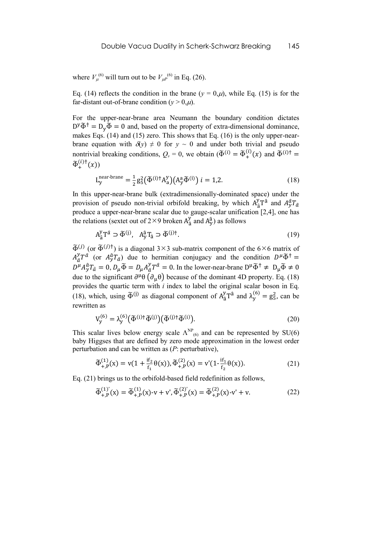where  $V_{\mu}^{(6)}$  will turn out to be  $V_{\mu}^{(6)}$  in Eq. (26).

Eq. (14) reflects the condition in the brane  $(y = 0, \mu)$ , while Eq. (15) is for the far-distant out-of-brane condition  $(y > 0, \mu)$ .

For the upper-near-brane area Neumann the boundary condition dictates  $D^{y} \tilde{\Phi}^{\dagger} = D_{y} \tilde{\Phi} = 0$  and, based on the property of extra-dimensional dominance, makes Eqs. (14) and (15) zero. This shows that Eq. (16) is the only upper-nearbrane equation with  $\partial(y) \neq 0$  for  $y \sim 0$  and under both trivial and pseudo nontrivial breaking conditions,  $Q_v = 0$ , we obtain  $(\tilde{\Phi}^{(i)} = \tilde{\Phi}_+^{(i)})$  $i)_{+}(x)$  and  $\widetilde{\Phi}^{(i)\dagger}$  $\widetilde{\Phi}_+^{(l)}$  $_{+}^{(i)\dagger}(x))$ 

$$
L_y^{\text{near-brane}} = \frac{1}{2} g_5^2 \left( \widetilde{\Phi}^{(i)\dagger} A_a^y \right) \left( A_y^a \widetilde{\Phi}^{(i)} \right) i = 1, 2. \tag{18}
$$

In this upper-near-brane bulk (extradimensionally-dominated space) under the provision of pseudo non-trivial orbifold breaking, by which  $\hat{A}^y_{\hat{a}}T^{\hat{a}}$  and  $A^{\hat{a}}_{y}T_{\hat{a}}$ produce a upper-near-brane scalar due to gauge-scalar unification [2,4], one has the relations (sextet out of  $2 \times 9$  broken  $A_{\hat{a}}^{\hat{y}}$  and  $A_{\hat{y}}^{\hat{a}}$ ) as follows

$$
A_{\hat{a}}^y T^{\hat{a}} \supset \widetilde{\Phi}^{(j)}, \quad A_y^{\hat{a}} T_{\hat{a}} \supset \widetilde{\Phi}^{(j)\dagger}.
$$

 $\tilde{\Phi}^{(j)}$  (or  $\tilde{\Phi}^{(j)\dagger}$ ) is a diagonal 3×3 sub-matrix component of the 6×6 matrix of  $A_{\hat{a}}^{\gamma}T^{\hat{a}}$  (or  $A_{\gamma}^{\hat{a}}T_{\hat{a}}$ ) due to hermitian conjugacy and the condition  $D^{\mu}\tilde{\Phi}^{\dagger}$  $D^{\mu}A^{\hat{\alpha}}_{\gamma}T_{\hat{\alpha}} = 0$ ,  $D_{\mu}\tilde{\Phi} = D_{\mu}A^{\gamma}_{\hat{\alpha}}T^{\hat{\alpha}} = 0$ . In the lower-near-brane  $D^{\mu}\tilde{\Phi}^{\dagger} \neq D_{\mu}\tilde{\Phi} \neq 0$ due to the significant  $\partial^{\mu} \theta (\partial_{\mu} \theta)$  because of the dominant 4D property. Eq. (18) provides the quartic term with *i* index to label the original scalar boson in Eq. (18), which, using  $\tilde{\Phi}^{(j)}$  as diagonal component of  $A_{\hat{a}}^y T^{\hat{a}}$  and  $\lambda_y^{(6)} = g_5^2$ , can be rewritten as

$$
V_{y}^{(6)} = \lambda_{y}^{(6)} (\tilde{\Phi}^{(i)\dagger} \tilde{\Phi}^{(j)}) (\tilde{\Phi}^{(j)\dagger} \tilde{\Phi}^{(i)}).
$$
\n(20)

This scalar lives below energy scale  $\Lambda^{NP}_{(6)}$  and can be represented by SU(6) baby Higgses that are defined by zero mode approximation in the lowest order perturbation and can be written as (*P*: perturbative),

$$
\widetilde{\Phi}^{(1)}_{+,P}(x) = v(1 + \frac{if_2}{f_1} \theta(x)), \widetilde{\Phi}^{(2)}_{+,P}(x) = v'(1 - \frac{if_1}{f_2} \theta(x)).
$$
\n(21)

Eq. (21) brings us to the orbifold-based field redefinition as follows,

$$
\widetilde{\Phi}^{(1)'}_{+,P}(x) = \widetilde{\Phi}^{(1)}_{+,P}(x) - v + v', \widetilde{\Phi}^{(2)'}_{+,P}(x) = \widetilde{\Phi}^{(2)}_{+,P}(x) - v' + v.
$$
\n(22)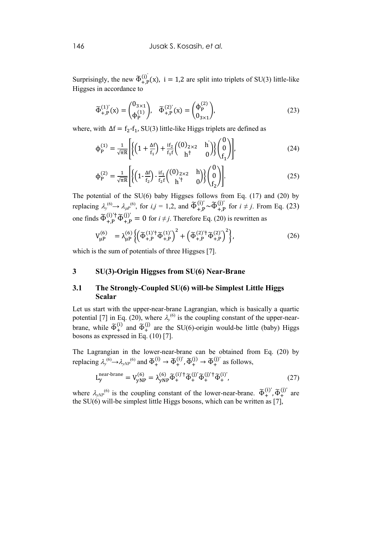Surprisingly, the new  $\tilde{\Phi}_{+}^{(i)}$  $_{+P}^{(i)}(x)$ , i = 1,2 are split into triplets of SU(3) little-like Higgses in accordance to

$$
\widetilde{\Phi}_{+,P}^{(1)'}(x) = \begin{pmatrix} 0_{3 \times 1} \\ \phi_P^{(1)} \end{pmatrix}, \quad \widetilde{\Phi}_{+,P}^{(2)'}(x) = \begin{pmatrix} \phi_P^{(2)} \\ 0_{3 \times 1} \end{pmatrix},\tag{23}
$$

where, with  $\Delta f = f_2 - f_1$ , SU(3) little-like Higgs triplets are defined as

$$
\Phi_{\rm P}^{(1)} = \frac{1}{\sqrt{\pi R}} \left[ \left\{ \left( 1 + \frac{\Delta f}{f_1} \right) + \frac{\text{i}f_2}{f_1 f} \left( \begin{array}{c} (0)_{2 \times 2} & h \\ h^{\dagger} & 0 \end{array} \right) \right\} \begin{pmatrix} 0 \\ 0 \\ f_1 \end{pmatrix} \right],\tag{24}
$$

$$
\Phi_{\mathbf{P}}^{(2)} = \frac{1}{\sqrt{\pi R}} \left[ \left\{ \left( 1 - \frac{\Delta f}{f_2} \right) - \frac{\mathrm{i} f_1}{f_2 f} \left( \begin{array}{c} (0)_{2 \times 2} & h \\ h^{\dagger} & 0 \end{array} \right) \right\} \begin{pmatrix} 0 \\ 0 \\ f_2 \end{pmatrix} \right].
$$
 (25)

The potential of the SU(6) baby Higgses follows from Eq. (17) and (20) by replacing  $\lambda_y^{(6)} \rightarrow \lambda_{\mu}^{(6)}$ , for  $i,j = 1,2$ , and  $\tilde{\Phi}_{+,P}^{(1)} \sim \tilde{\Phi}_{+}^{(1)}$  $_{+P}^{(j)}$  for  $i \neq j$ . From Eq. (23) one finds  $\widetilde{\Phi}_{+,P}^{(i)'\dagger} \widetilde{\Phi}_{+,P}^{(j)} = 0$  for  $i \neq j$ . Therefore Eq. (20) is rewritten as

$$
V_{\mu P}^{(6)} = \lambda_{\mu P}^{(6)} \left\{ \left( \tilde{\Phi}_{+,P}^{(1)^\dagger} \tilde{\Phi}_{+,P}^{(1)^\dagger} \right)^2 + \left( \tilde{\Phi}_{+,P}^{(2)^\dagger} \tilde{\Phi}_{+,P}^{(2)^\dagger} \right)^2 \right\},\tag{26}
$$

which is the sum of potentials of three Higgses [7].

### **3 SU(3)-Origin Higgses from SU(6) Near-Brane**

# **3.1 The Strongly-Coupled SU(6) will-be Simplest Little Higgs Scalar**

Let us start with the upper-near-brane Lagrangian, which is basically a quartic potential [7] in Eq. (20), where  $\lambda_y^{(6)}$  is the coupling constant of the upper-nearbrane, while  $\tilde{\Phi}^{(i)}_{+}$  $_{+}^{(i)}$  and  $\widetilde{\Phi}_{+}^{(j)}$  $_{+}^{(j)}$  are the SU(6)-origin would-be little (baby) Higgs bosons as expressed in Eq. (10) [7].

The Lagrangian in the lower-near-brane can be obtained from Eq. (20) by replacing  $\lambda_y^{(6)} \rightarrow \lambda_{yNP}^{(6)}$  and  $\widetilde{\Phi}_+^{(1)} \rightarrow \widetilde{\Phi}_+^{(1)}$  $\widetilde{\Phi}^{(i)}_+$ ,  $\widetilde{\Phi}^{(j)}_+$   $\rightarrow$   $\widetilde{\Phi}^{(j)}_+$  $_{+}^{(j)}$  as follows,

$$
L_{y}^{\text{near-brane}} = V_{yNP}^{(6)} = \lambda_{yNP}^{(6)} \tilde{\Phi}_{+}^{(i)\dagger} \tilde{\Phi}_{+}^{(j)\dagger} \tilde{\Phi}_{+}^{(j)\dagger} \tilde{\Phi}_{+}^{(i)\dagger}, \qquad (27)
$$

where  $\lambda_{yNP}^{(6)}$  is the coupling constant of the lower-near-brane.  $\tilde{\Phi}_{+}^{(1)}$  $_{+}^{\text{(i)}{}',\widetilde{\Phi}_{+}^{\text{(j)}}}$  $_{+}^{(j)}$  are the SU(6) will-be simplest little Higgs bosons, which can be written as [7],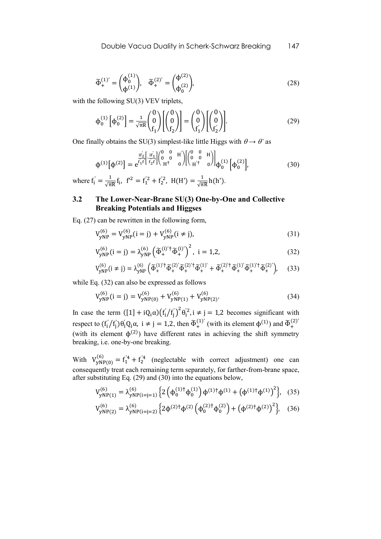$$
\widetilde{\Phi}_{+}^{(1)^{'} } = \begin{pmatrix} \phi_{0}^{(1)} \\ \phi_{1}^{(1)} \end{pmatrix}, \quad \widetilde{\Phi}_{+}^{(2)^{'} } = \begin{pmatrix} \phi_{-}^{(2)} \\ \phi_{0}^{(2)} \end{pmatrix}, \tag{28}
$$

with the following SU(3) VEV triplets,

$$
\Phi_0^{(1)}\left[\Phi_0^{(2)}\right] = \frac{1}{\sqrt{\pi R}} \begin{pmatrix} 0\\0\\f_1 \end{pmatrix} \begin{pmatrix} 0\\0\\f_2 \end{pmatrix} = \begin{pmatrix} 0\\0\\f_1 \end{pmatrix} \begin{pmatrix} 0\\0\\f_2 \end{pmatrix}.
$$
 (29)

One finally obtains the SU(3) simplest-like little Higgs with  $\theta \rightarrow \theta'$  as

$$
\Phi^{(1)}[\Phi^{(2)}] = e^{\frac{i\vec{r}_2}{f_1\vec{r}} \left[\frac{i\vec{r}_1}{f_2\vec{r}}\right] \begin{pmatrix} 0 & 0 & \text{H} \\ 0 & 0 & \text{H} \\ \text{H}^{\dagger} & 0 \end{pmatrix} \begin{pmatrix} 0 & 0 & \text{H} \\ 0 & 0 & \text{H} \\ \text{H}^{\dagger} & 0 \end{pmatrix} \begin{pmatrix} 0 & 0 & \text{H} \\ 0 & 0 & \text{H} \\ \text{H}^{\dagger} & 0 \end{pmatrix}} \Phi_0^{(1)}[\Phi_0^{(2)}],
$$
(30)

where  $f_i' = \frac{1}{\sqrt{\pi}}$  $\frac{1}{\sqrt{\pi R}}f_i$ ,  $f^2 = f_1^2 + f_2^2$ ,  $H(H') = \frac{1}{\sqrt{\pi}}$  $\frac{1}{\sqrt{\pi R}}h(h')$ .

# **3.2 The Lower-Near-Brane SU(3) One-by-One and Collective Breaking Potentials and Higgses**

Eq. (27) can be rewritten in the following form,

$$
V_{yNP}^{(6)} = V_{yNP}^{(6)}(i = j) + V_{yNP}^{(6)}(i \neq j),
$$
\n(31)

$$
V_{\text{yNP}}^{(6)}(i=j) = \lambda_{\text{yNP}}^{(6)} \left( \tilde{\Phi}_{+}^{(i)\dagger} \tilde{\Phi}_{+}^{(i)\dagger} \right)^{2}, \ i = 1, 2,
$$
 (32)

$$
V_{yNP}^{(6)}(i \neq j) = \lambda_{yNP}^{(6)} \left( \tilde{\Phi}_{+}^{(1)\dagger} \tilde{\Phi}_{+}^{(2)\dagger} \tilde{\Phi}_{+}^{(2)\dagger} \tilde{\Phi}_{+}^{(1)\dagger} + \tilde{\Phi}_{+}^{(2)\dagger} \tilde{\Phi}_{+}^{(1)\dagger} \tilde{\Phi}_{+}^{(1)\dagger} \tilde{\Phi}_{+}^{(2)\dagger} \right), \quad (33)
$$

while Eq. (32) can also be expressed as follows

$$
V_{yNP}^{(6)}(i = j) = V_{yNP(0)}^{(6)} + V_{yNP(1)}^{(6)} + V_{yNP(2)}^{(6)}.
$$
\n(34)

In case the term  $([1] + iQ_i\alpha)(f'_i/f'_j)^2\theta_i^2$ ,  $i \neq j = 1,2$  becomes significant with respect to  $(f_i/f_j)\theta_i Q_i \alpha$ ,  $i \neq j = 1,2$ , then  $\tilde{\Phi}_+^{(i)}$  $_{+}^{(1)}$  (with its element  $\phi^{(1)}$ ) and  $\tilde{\Phi}_{+}^{(2)}$  $(2)$ (with its element  $\phi^{(2)}$ ) have different rates in achieving the shift symmetry breaking, i.e. one-by-one breaking.

With  $V_{yNP(0)}^{(6)} = f_1^{'4} + f_2^{'4}$  (neglectable with correct adjustment) one can consequently treat each remaining term separately, for farther-from-brane space, after substituting Eq. (29) and (30) into the equations below,

$$
V_{\text{yNP}(1)}^{(6)} = \lambda_{\text{yNP}(i=j=1)}^{(6)} \left\{ 2 \left( \phi_0^{(1)\dagger} \phi_0^{(1)} \right) \phi^{(1)\dagger} \phi^{(1)} + \left( \phi^{(1)\dagger} \phi^{(1)} \right)^2 \right\}, \quad (35)
$$

$$
V_{yNP(2)}^{(6)} = \lambda_{yNP(i=j=2)}^{(6)} \left\{ 2\phi^{(2)\dagger} \phi^{(2)} \left( \phi_0^{(2)\dagger} \phi_0^{(2)} \right) + \left( \phi^{(2)\dagger} \phi^{(2)} \right)^2 \right\}, \quad (36)
$$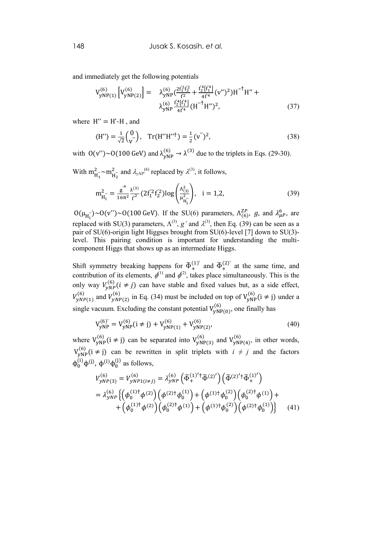and immediately get the following potentials

$$
V_{\text{yNP}(1)}^{(6)} \left[ V_{\text{yNP}(2)}^{(6)} \right] = \lambda_{\text{yNP}}^{(6)} \left( \frac{2f_1^2 f_2^2}{f_2^2} + \frac{f_2^4 \left[ f_1^4 \right]}{4f^4} (v'')^2 \right) H^{1\dagger} H'' + \lambda_{\text{yNP}}^{(6)} \left( \frac{f_2^4 \left[ f_1^4 \right]}{4f^4} \left( H^{1\dagger} H'' \right)^2 \right), \tag{37}
$$

where  $H'' = H'-H$ , and

$$
\langle H'' \rangle = \frac{1}{\sqrt{2}} \begin{pmatrix} 0 \\ v' \end{pmatrix}, \quad \text{Tr} (H'' H''^{\dagger}) = \frac{1}{2} (v'')^2,\tag{38}
$$

with  $O(v'') \sim O(100 \text{ GeV})$  and  $\lambda_{vNP}^{(6)} \rightarrow \lambda^{(3)}$  due to the triplets in Eqs. (29-30).

With  $m_{H''_2}^2 \sim m_{H''_2}^2$  and  $\lambda_{yNP}^{(6)}$  replaced by  $\lambda^{(3)}$ , it follows,

$$
m_{H_i^{\nu}}^2 = \frac{g^{4}}{16\pi^2} \frac{\lambda^{(3)}}{f^2} (2f_1^{2}f_2^{2}) \log\left(\frac{\Lambda_{(3)}^2}{\mu_{H_i^{\nu}}^2}\right), \quad i = 1, 2,
$$
 (39)

 $O(\mu_{H_i}) \sim O(v'') \sim O(100 \text{ GeV})$ . If the SU(6) parameters,  $\Lambda_{(6)}^{ZP}$ , g, and  $\lambda_{\mu}^6$ , are replaced with SU(3) parameters,  $\Lambda^{(3)}$ , g' and  $\lambda^{(3)}$ , then Eq. (39) can be seen as a pair of SU(6)-origin light Higgses brought from SU(6)-level [7] down to SU(3) level. This pairing condition is important for understanding the multicomponent Higgs that shows up as an intermediate Higgs.

Shift symmetry breaking happens for  $\tilde{\Phi}_{+}^{(1)}$  $_{+}^{(1)}$  and  $\widetilde{\Phi}_{+}^{(2)}$  $\binom{2}{+}$  at the same time, and contribution of its elements,  $\phi^{(1)}$  and  $\phi^{(2)}$ , takes place simultaneously. This is the only way  $V_{vNP}^{(6)}$  ( $i \neq j$ ) can have stable and fixed values but, as a side effect,  $V_{yNP(1)}^{(6)}$  and  $V_{yNP(2)}^{(6)}$  in Eq. (34) must be included on top of  $V_{yNP}^{(6)}$  (i  $\neq$  j) under a single vacuum. Excluding the constant potential  $V_{yNP(0)}^{(6)}$ , one finally has

$$
V_{yNP}^{(6)} = V_{yNP}^{(6)}(i \neq j) + V_{yNP(1)}^{(6)} + V_{yNP(2)}^{(6)},
$$
\n(40)

where  $V_{yNP}(i \neq j)$  can be separated into  $V_{yNP(3)}^{(6)}$  and  $V_{yNP(4)}^{(6)}$ , in other words,  $V_{\text{vNP}}^{(6)}$  ( $i \neq j$ ) can be rewritten in split triplets with  $i \neq j$  and the factors  $\phi_0^{(i)} \phi_0^{(j)}$ ,  $\phi_0^{(i)} \phi_0^{(j)}$  as follows,

$$
V_{yNP(3)}^{(6)} = V_{yNP1(i\neq j)}^{(6)} = \lambda_{yNP}^{(6)} \left( \tilde{\Phi}_{+}^{(1)'\dagger} \tilde{\Phi}_{-}^{(2)'} \right) \left( \tilde{\Phi}_{-}^{(2)'\dagger} \tilde{\Phi}_{+}^{(1)'} \right)
$$
  
=  $\lambda_{yNP}^{(6)} \left\{ \left( \phi_{0}^{(1)\dagger} \phi_{-}^{(2)} \right) \left( \phi_{-}^{(2) \dagger} \phi_{0}^{(1)} \right) + \left( \phi_{-}^{(1) \dagger} \phi_{0}^{(2)} \right) \left( \phi_{0}^{(2) \dagger} \phi_{-}^{(1)} \right) + \left( \phi_{-}^{(1) \dagger} \phi_{-}^{(2)} \right) \left( \phi_{-}^{(2) \dagger} \phi_{0}^{(1)} \right) \right\}$  (41)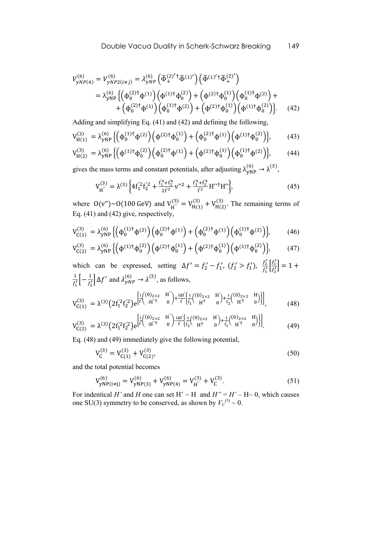$$
V_{yNP(4)}^{(6)} = V_{yNP2(i\neq j)}^{(6)} = \lambda_{yNP}^{(6)} \left( \tilde{\Phi}_{+}^{(2)'} \dagger \tilde{\Phi}_{+}^{(1)'} \right) \left( \tilde{\Phi}_{+}^{(1)'} \dagger \tilde{\Phi}_{+}^{(2)'} \right)
$$
  
=  $\lambda_{yNP}^{(6)} \left\{ \left( \phi_{0}^{(2) \dagger} \phi_{0}^{(1)} \right) \left( \phi_{0}^{(1) \dagger} \phi_{0}^{(2)} \right) + \left( \phi_{0}^{(2) \dagger} \phi_{0}^{(1)} \right) \left( \phi_{0}^{(1) \dagger} \phi_{0}^{(2)} \right) + \left( \phi_{0}^{(2) \dagger} \phi_{0}^{(1)} \right) \left( \phi_{0}^{(1) \dagger} \phi_{0}^{(2)} \right) \right\}. \tag{42}$ 

Adding and simplifying Eq. (41) and (42) and defining the following,

$$
V_{H(1)}^{(3)} = \lambda_{yNP}^{(6)} \left\{ \left( \phi_0^{(1)\dagger} \phi^{(2)} \right) \left( \phi^{(2)\dagger} \phi_0^{(1)} \right) + \left( \phi_0^{(2)\dagger} \phi^{(1)} \right) \left( \phi^{(1)\dagger} \phi_0^{(2)} \right) \right\},\tag{43}
$$

$$
V_{H(2)}^{(3)} = \lambda_{\text{yNP}}^{(6)} \left\{ \left( \phi^{(1)\dagger} \phi_0^{(2)} \right) \left( \phi_0^{(2)\dagger} \phi^{(1)} \right) + \left( \phi^{(2)\dagger} \phi_0^{(1)} \right) \left( \phi_0^{(1)\dagger} \phi^{(2)} \right) \right\},\tag{44}
$$

gives the mass terms and constant potentials, after adjusting  $\lambda_{vNP}^{(6)} \rightarrow \lambda^{(3)}$ ,

$$
V_{H}^{(3)} = \lambda^{(3)} \left\{ 4f_1^{'2}f_2^{'2} + \frac{f_1^{'4} + f_2^{'4}}{2f^{'2}} v^{''}{}^2 + \frac{f_1^{'4} + f_2^{'4}}{f^{'2}} H^{''}{}^{\dagger} H^{"} \right\},\tag{45}
$$

where  $O(v'') \sim O(100 \text{ GeV})$  and  $V_{H}^{(3)} = V_{H(1)}^{(3)} + V_{H(2)}^{(3)}$ . The remaining terms of Eq. (41) and (42) give, respectively,

$$
V_{C(1)}^{(3)} = \lambda_{\text{yNP}}^{(6)} \left\{ \left( \phi_0^{(1)\dagger} \phi^{(2)} \right) \left( \phi_0^{(2)\dagger} \phi^{(1)} \right) + \left( \phi_0^{(2)\dagger} \phi^{(1)} \right) \left( \phi_0^{(1)\dagger} \phi^{(2)} \right) \right\},\tag{46}
$$

$$
V_{C(2)}^{(3)} = \lambda_{yNP}^{(6)} \left\{ \left( \phi^{(1)\dagger} \phi_0^{(2)} \right) \left( \phi^{(2)\dagger} \phi_0^{(1)} \right) + \left( \phi^{(2)\dagger} \phi_0^{(1)} \right) \left( \phi^{(1)\dagger} \phi_0^{(2)} \right) \right\},\tag{47}
$$

which can be expressed, setting  $\Delta f' = f'_2 - f'_1$ ,  $(f'_2 > f'_1)$ ,  $\frac{f'_2}{f'_1}$  $\frac{f_2'}{f_1'}\Big[\frac{f_1'}{f_2'}$  $\frac{f_1}{f_2'}$  =  $\mathbf{1}$  $\frac{1}{f'_1}\bigg[-\frac{1}{f'_2}\bigg]$  $\frac{1}{f_2'}\Delta f'$  and  $\lambda_{yNP}^{(6)} \rightarrow \lambda^{(3)}$ , as follows,

$$
V_{C(1)}^{(3)} = \lambda^{(3)} (2f_1^{'2}f_2^{'2}) e^{\left[\frac{i}{f} \begin{pmatrix} (0)_{2\times 2} & H^{"} \\ -H^{''\dagger} & 0 \end{pmatrix} + \frac{i\Delta f}{f} \begin{pmatrix} 1 \\ f_1 \end{pmatrix} \begin{pmatrix} (0)_{2\times 2} & H^{'} \\ H^{\dagger} & 0 \end{pmatrix} + \frac{1}{f_2} \begin{pmatrix} (0)_{2\times 2} & H \\ H^{'\dagger} & 0 \end{pmatrix} \right]_{}^{}_{,}
$$
(48)

$$
V_{C(2)}^{(3)} = \lambda^{(3)} (2f_1^{'2}f_2^{'2}) e^{\left[\frac{i}{f} \left((0)_{2 \times 2} H^{''}\right) \frac{i \Delta f}{f} \left(\frac{1}{f_2} \left((0)_{2 \times 2} H^{'}\right) + \frac{1}{f_1} \left((0)_{2 \times 2} H^{'}\right)\right)\right]}_{f_1} (49)
$$

Eq. (48) and (49) immediately give the following potential,

$$
V_C^{(3)} = V_{C(1)}^{(3)} + V_{C(2)}^{(3)},
$$
\n(50)

and the total potential becomes

$$
V_{yNP(i\neq j)}^{(6)} = V_{yNP(3)}^{(6)} + V_{yNP(4)}^{(6)} = V_{H}^{(3)} + V_{C}^{(3)}.
$$
\n(51)

For indentical *H'* and *H* one can set H'  $\sim$  H and *H''* = *H'* – H $\sim$  0, which causes one SU(3) symmetry to be conserved, as shown by  $V_c^{(3)} \sim 0$ .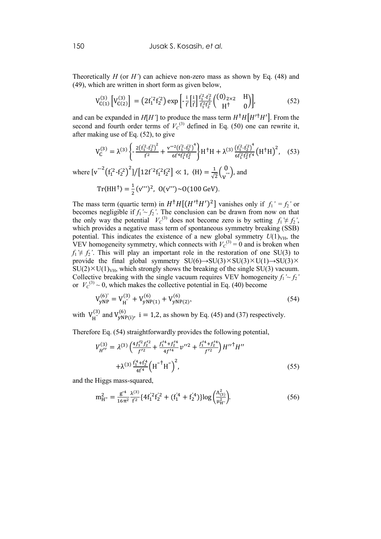Theoretically *H* (or *H'*) can achieve non-zero mass as shown by Eq. (48) and (49), which are written in short form as given below,

$$
V_{C(1)}^{(3)}\left[V_{C(2)}^{(3)}\right] = \left(2f_1^{2}f_2^{2}\right) \exp\left[-\frac{i}{f}\left[\frac{i}{f}\right] \frac{f_1^{2} \cdot f_2^{2}}{f_1^{2}f_2^{2}} \binom{(0)_{2 \times 2}}{H^{\dagger}} - \frac{H}{0}\right],\tag{52}
$$

and can be expanded in  $H[H']$  to produce the mass term  $H^{\dagger}H[H'^{\dagger}H']$ . From the second and fourth order terms of  $V_C^{(3)}$  defined in Eq. (50) one can rewrite it, after making use of Eq. (52), to give

$$
V_C^{(3)} = \lambda^{(3)} \left\{ -\frac{2(\dot{f}_1^2 \cdot \dot{f}_2^2)^2}{f^2} + \frac{v^{(3)} (f_1^2 \cdot \dot{f}_2^2)^4}{6f^4 f_1^2 f_2^2} \right\} H^{\dagger} H + \lambda^{(3)} \frac{(\dot{f}_1^2 \cdot \dot{f}_2^2)^4}{6f_1^2 f_2^2 f^4} \left(H^{\dagger} H\right)^2, \tag{53}
$$

where  $[v^{m^2}(f_1^{'2} - f_2^{'2})^2]/[12f^{'}2f_1^{'2}f_2^{'2}] \ll 1$ ,  $\langle H \rangle = \frac{1}{\sqrt{3}}$  $\frac{1}{\sqrt{2}}\begin{pmatrix} 0 \\ v \end{pmatrix}$  $\frac{0}{v}$ , and  $Tr(HH^{\dagger})=\frac{1}{2}$  $\frac{1}{2}$  (v''')<sup>2</sup>, 0(v''')~0(100 GeV).

The mass term (quartic term) in  $H^{\dagger}H[(H'^{\dagger}H')^2]$  vanishes only if  $f_1' = f_2'$  or becomes negligible if  $f_1 \sim f_2$ . The conclusion can be drawn from now on that the only way the potential  $V_C^{(3)}$  does not become zero is by setting  $f_1' \neq f_2'$ , which provides a negative mass term of spontaneous symmetry breaking (SSB) potential. This indicates the existence of a new global symmetry  $U(1)_{\text{VH}}$ , the VEV homogeneity symmetry, which connects with  $V_C^{(3)} = 0$  and is broken when  $f_1 \neq f_2$ <sup>'</sup>. This will play an important role in the restoration of one SU(3) to provide the final global symmetry  $SU(6) \rightarrow SU(3) \times SU(3) \times U(1) \rightarrow SU(3) \times$  $SU(2) \times U(1)_{VH}$ , which strongly shows the breaking of the single SU(3) vacuum. Collective breaking with the single vacuum requires VEV homogeneity  $f_1 \sim f_2'$ or  $V_c^{(3)} \sim 0$ , which makes the collective potential in Eq. (40) become

$$
V_{yNP}^{(6)} = V_{H}^{(3)} + V_{yNP(1)}^{(6)} + V_{yNP(2)}^{(6)},
$$
\n(54)

with  $V_H^C$  $V_{\text{H} \text{H} \text{H} \text{H}}^{(3)}$  and  $V_{\text{yNP}(i)}^{(6)}$ , i = 1,2, as shown by Eq. (45) and (37) respectively.

Therefore Eq. (54) straightforwardly provides the following potential,

$$
V_{H^{\prime\prime}}^{(3)} = \lambda^{(3)} \left( \frac{4f_1^{\prime 2}f_2^{\prime 2}}{f^{\prime 2}} + \frac{f_1^{\prime 4} + f_2^{\prime 4}}{4f^{\prime 4}} v^{\prime\prime 2} + \frac{f_1^{\prime 4} + f_2^{\prime 4}}{f^{\prime 2}} \right) H^{\prime\prime \dagger} H^{\prime\prime}
$$
  
+  $\lambda^{(3)} \frac{\dot{f}_1^4 + \dot{f}_2^4}{4f^{\prime 4}} \left( H^{\prime \dagger} H^{\prime \prime} \right)^2,$  (55)

and the Higgs mass-squared,

$$
m_{H''}^2 = \frac{g'^4}{16\pi^2} \frac{\lambda^{(3)}}{f^2} \{4f_1'^2f_2'^2 + (f_1'^4 + f_2'^4)\} \log\left(\frac{\Lambda_{(3)}^2}{\mu_{H''}^2}\right).
$$
 (56)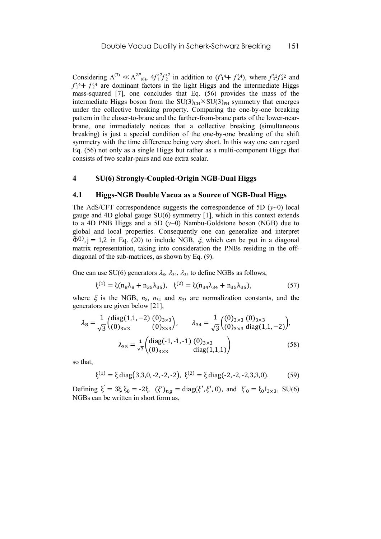Considering  $\Lambda^{(3)} \ll \Lambda^{ZP}_{(6)}$ ,  $4f_1^2 f_2^2$  in addition to  $(f_1^2 + f_2^2)$ , where  $f_1^2 f_2^2$  and  $f'_1$ <sup>4</sup> +  $f'_2$ <sup>4</sup> are dominant factors in the light Higgs and the intermediate Higgs mass-squared [7], one concludes that Eq. (56) provides the mass of the intermediate Higgs boson from the  $SU(3)_{CH} \times SU(3)_{PH}$  symmetry that emerges under the collective breaking property. Comparing the one-by-one breaking pattern in the closer-to-brane and the farther-from-brane parts of the lower-nearbrane, one immediately notices that a collective breaking (simultaneous breaking) is just a special condition of the one-by-one breaking of the shift symmetry with the time difference being very short. In this way one can regard Eq. (56) not only as a single Higgs but rather as a multi-component Higgs that consists of two scalar-pairs and one extra scalar.

# **4 SU(6) Strongly-Coupled-Origin NGB-Dual Higgs**

### **4.1 Higgs-NGB Double Vacua as a Source of NGB-Dual Higgs**

The AdS/CFT correspondence suggests the correspondence of 5D  $(y\sim 0)$  local gauge and 4D global gauge SU(6) symmetry [1], which in this context extends to a 4D PNB Higgs and a 5D (*y*~0) Nambu-Goldstone boson (NGB) due to global and local properties. Consequently one can generalize and interpret  $\tilde{\Phi}^{(j)}$ , j = 1,2 in Eq. (20) to include NGB,  $\xi$ , which can be put in a diagonal matrix representation, taking into consideration the PNBs residing in the offdiagonal of the sub-matrices, as shown by Eq. (9).

One can use SU(6) generators  $\lambda_8$ ,  $\lambda_{34}$ ,  $\lambda_{35}$  to define NGBs as follows,

$$
\xi^{(1)} = \xi(n_8\lambda_8 + n_{35}\lambda_{35}), \quad \xi^{(2)} = \xi(n_{34}\lambda_{34} + n_{35}\lambda_{35}), \tag{57}
$$

where  $\xi$  is the NGB,  $n_8$ ,  $n_{34}$  and  $n_{35}$  are normalization constants, and the generators are given below [21],

$$
\lambda_8 = \frac{1}{\sqrt{3}} \begin{pmatrix} \text{diag}(1,1,-2) & (0)_{3\times3} \\ (0)_{3\times3} & (0)_{3\times3} \end{pmatrix}, \qquad \lambda_{34} = \frac{1}{\sqrt{3}} \begin{pmatrix} (0)_{3\times3} & (0)_{3\times3} \\ (0)_{3\times3} & \text{diag}(1,1,-2) \end{pmatrix},
$$
\n
$$
\lambda_{35} = \frac{1}{\sqrt{3}} \begin{pmatrix} \text{diag}(-1,-1,-1) & (0)_{3\times3} \\ (0)_{3\times3} & \text{diag}(1,1,1) \end{pmatrix} \tag{58}
$$

so that,

$$
\xi^{(1)} = \xi \operatorname{diag}(3,3,0,-2,-2,-2), \xi^{(2)} = \xi \operatorname{diag}(-2,-2,-2,3,3,0). \tag{59}
$$

Defining  $\xi' = 3\xi, \xi_0 = -2\xi, (\xi')_{ng} = \text{diag}(\xi', \xi', 0)$ , and  $\xi'_0 = \xi_0 I_{3 \times 3}$ , SU(6) NGBs can be written in short form as,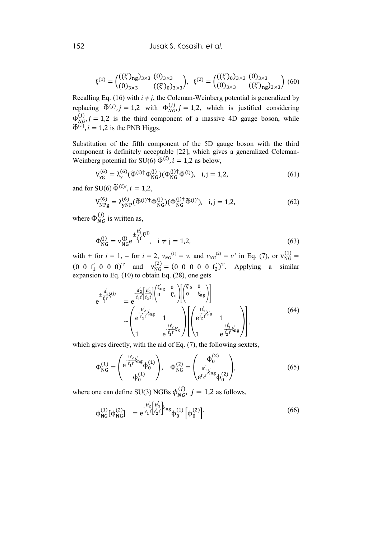$$
\xi^{(1)} = \begin{pmatrix} ((\xi')_{\text{ng}})_{3\times3} & (0)_{3\times3} \\ (0)_{3\times3} & ((\xi')_0)_{3\times3} \end{pmatrix}, \quad \xi^{(2)} = \begin{pmatrix} ((\xi')_0)_{3\times3} & (0)_{3\times3} \\ (0)_{3\times3} & ((\xi')_{\text{ng}})_{3\times3} \end{pmatrix} \quad (60)
$$

Recalling Eq. (16) with  $i \neq j$ , the Coleman-Weinberg potential is generalized by replacing  $\tilde{\Phi}^{(j)}$ ,  $j = 1,2$  with  $\Phi_{NG}^{(j)}$ ,  $j = 1,2$ , which is justified considering  $\Phi_{NG}^{(j)}$ ,  $j = 1,2$  is the third component of a massive 4D gauge boson, while  $\tilde{\Phi}^{(i)}$ ,  $i = 1,2$  is the PNB Higgs.

Substitution of the fifth component of the 5D gauge boson with the third component is definitely acceptable [22], which gives a generalized Coleman-Weinberg potential for SU(6)  $\tilde{\Phi}^{(i)}$ ,  $i = 1,2$  as below,

$$
V_{yg}^{(6)} = \lambda_y^{(6)} (\tilde{\Phi}^{(i)\dagger} \Phi_{NG}^{(j)})(\Phi_{NG}^{(j)\dagger} \tilde{\Phi}^{(i)}), \quad i, j = 1, 2, \tag{61}
$$

and for SU(6)  $\tilde{\Phi}^{(i)}$ ,  $i = 1,2$ ,

$$
V_{\rm NPg}^{(6)} = \lambda_{\rm yNP}^{(6)} (\tilde{\Phi}^{(i)\dagger} \Phi_{\rm NG}^{(j)}) (\Phi_{\rm NG}^{(j)\dagger} \tilde{\Phi}^{(i)\dagger}), \quad i, j = 1, 2, \tag{62}
$$

where  $\Phi_{NG}^{(j)}$  is written as,

$$
\Phi_{NG}^{(j)} = v_{NG}^{(j)} e^{\pm \frac{i \dot{r}_i}{f_j f} \xi^{(j)}}, \quad i \neq j = 1, 2,
$$
\n(63)

with + for  $i = 1$ , - for  $i = 2$ ,  $v_{NG}^{(1)} = v$ , and  $v_{NG}^{(2)} = v'$  in Eq. (7), or  $v_{NG}^{(1)} =$  $(0 \t 0 \t f_1' \t 0 \t 0 \t 0)^T$  and  $v_{NG}^{(2)} = (0 \t 0 \t 0 \t 0 \t 0 \t f_2')^T$ . Applying a similar expansion to Eq. (10) to obtain Eq. (28), one gets

$$
e^{\pm \frac{i f_1^{'}}{f_j f} \xi^{(j)}} = e^{\frac{i f_2^{'}}{f_1 f} [\frac{i f_1^{'}}{f_2 f}]} \left( \begin{matrix} \xi_{ng}^{'} & 0 \\ 0 & \xi_{0} \end{matrix} \right) \left( \begin{matrix} \xi_{0}^{'} & 0 \\ 0 & \xi_{ng} \end{matrix} \right)} - \left( e^{\frac{i f_2^{'}}{f_1 f} \xi_{ng}^{'} \xi_{ng}} 1 \right) \left( e^{\frac{i f_1^{'}}{f_2 f} \xi_{0}^{'} \xi_{0}} 1 \right) \left( e^{\frac{i f_1^{'}}{f_2 f} \xi_{0}^{'} \xi_{0}} 1 \right) \left( e^{\frac{i f_1^{'}}{f_2 f} \xi_{ng}^{'} \xi_{ng}} \right) \right), \tag{64}
$$

which gives directly, with the aid of Eq.  $(7)$ , the following sextets,

$$
\Phi_{NG}^{(1)} = \begin{pmatrix} e^{\frac{i\dot{f}_2}{f_1 f}\dot{\xi}_{ng}} \phi_0^{(1)} \\ \phi_0^{(1)} \end{pmatrix}, \quad \Phi_{NG}^{(2)} = \begin{pmatrix} \phi_0^{(2)} \\ \frac{i\dot{f}_1}{f_2 f}\dot{\xi}_{ng} \\ e^{\frac{i\dot{f}_2}{f_2 f}\dot{\xi}_{ng}} \phi_0^{(2)} \end{pmatrix},
$$
(65)

where one can define SU(3) NGBs  $\phi_{NG}^{(j)}$ ,  $j = 1,2$  as follows,

$$
\phi_{NG}^{(1)}[\phi_{NG}^{(2)}] = e^{\frac{i\dot{f}_2}{f_1\dot{f}}\left[\frac{i\dot{f}_1}{f_2\dot{f}}\right]\xi_{ng}}\phi_0^{(1)}\left[\phi_0^{(2)}\right].
$$
\n(66)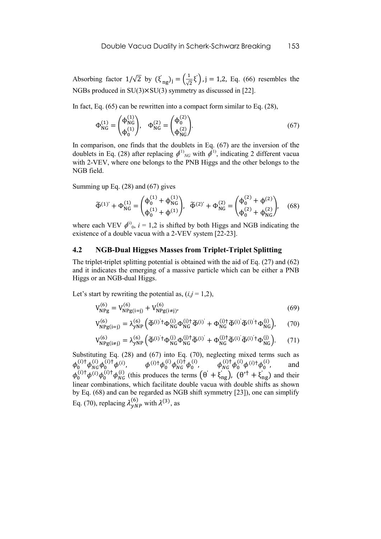Absorbing factor  $1/\sqrt{2}$  by  $(\xi'_{ng})_j = (\frac{1}{\sqrt{2}})$  $\frac{1}{\sqrt{2}}\xi'$ , j = 1,2, Eq. (66) resembles the NGBs produced in  $SU(3) \times SU(3)$  symmetry as discussed in [22].

In fact, Eq. (65) can be rewritten into a compact form similar to Eq. (28),

$$
\Phi_{\rm NG}^{(1)} = \begin{pmatrix} \phi_{\rm NG}^{(1)} \\ \phi_0^{(1)} \end{pmatrix}, \quad \Phi_{\rm NG}^{(2)} = \begin{pmatrix} \phi_0^{(2)} \\ \phi_{\rm NG}^{(2)} \end{pmatrix}.
$$
 (67)

In comparison, one finds that the doublets in Eq. (67) are the inversion of the doublets in Eq. (28) after replacing  $\phi^{(1)}{}_{NG}$  with  $\phi^{(1)}{}_{n}$ , indicating 2 different vacua with 2-VEV, where one belongs to the PNB Higgs and the other belongs to the NGB field.

Summing up Eq. (28) and (67) gives

$$
\widetilde{\Phi}^{(1)'} + \Phi_{NG}^{(1)} = \begin{pmatrix} \Phi_0^{(1)} + \Phi_{NG}^{(1)} \\ \Phi_0^{(1)} + \Phi_{NG}^{(1)} \end{pmatrix}, \quad \widetilde{\Phi}^{(2)'} + \Phi_{NG}^{(2)} = \begin{pmatrix} \Phi_0^{(2)} + \Phi_{NG}^{(2)} \\ \Phi_0^{(2)} + \Phi_{NG}^{(2)} \end{pmatrix}, \quad (68)
$$

where each VEV  $\phi^{(i)}$ <sub>0</sub>,  $i = 1,2$  is shifted by both Higgs and NGB indicating the existence of a double vacua with a 2-VEV system [22-23].

# **4.2 NGB-Dual Higgses Masses from Triplet-Triplet Splitting**

The triplet-triplet splitting potential is obtained with the aid of Eq. (27) and (62) and it indicates the emerging of a massive particle which can be either a PNB Higgs or an NGB-dual Higgs.

Let's start by rewriting the potential as,  $(i, j = 1, 2)$ ,

$$
V_{\rm NPg}^{(6)} = V_{\rm NPg(i=j)}^{(6)} + V_{\rm NPg(i\neq j)}^{(6)}
$$
\n(69)

$$
V_{NPg(i=j)}^{(6)} = \lambda_{yNP}^{(6)} \left( \tilde{\Phi}^{(i)\dagger} \Phi_{NG}^{(i)} \Phi_{NG}^{(i)\dagger} \tilde{\Phi}^{(i)\dagger} + \Phi_{NG}^{(i)\dagger} \tilde{\Phi}^{(i)\dagger} \tilde{\Phi}^{(i)\dagger} \Phi_{NG}^{(i)} \right), \tag{70}
$$

$$
V_{NPg(i\neq j)}^{(6)} = \lambda_{yNP}^{(6)} \left( \tilde{\Phi}^{(i)\dagger} \Phi_{NG}^{(j)} \Phi_{NG}^{(j)\dagger} \tilde{\Phi}^{(i)\dagger} + \Phi_{NG}^{(j)\dagger} \tilde{\Phi}^{(i)\dagger} \tilde{\Phi}^{(i)\dagger} \Phi_{NG}^{(j)} \right). \tag{71}
$$

Substituting Eq. (28) and (67) into Eq. (70), neglecting mixed terms such as  $\phi_0^{(i)} \phi_{NG}^{(i)} \phi_0^{(i)} \phi_{NG}^{(i)}$ ,  $\phi_0^{(i)} \phi_{NG}^{(i)} \phi_{NG}^{(i)} \phi_{NG}^{(i)}$ ,  $\phi_{NG}^{(i)} \phi_0^{(i)} \phi_{NG}^{(i)} \phi_{NG}^{(i)}$ , and  $\phi_0^{(i)} \phi_0^{(i)} \phi_{0}^{(i)} \phi_{0}^{(i)}$  (this produces the terms  $(\theta' + \xi'_{\text{ng}})$ ,  $(\theta'^{\dagger} + \xi'_{\text{ng}})$  and their linear combinations, which facilitate double vacua with double shifts as shown by Eq. (68) and can be regarded as NGB shift symmetry [23]), one can simplify Eq. (70), replacing  $\lambda_{vNP}^{(6)}$  with  $\lambda^{(3)}$ , as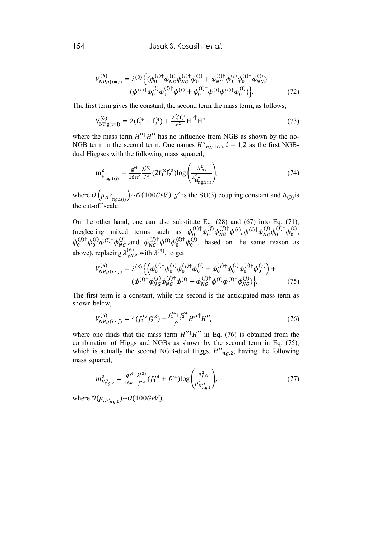$$
V_{NPg(i=j)}^{(6)} = \lambda^{(3)} \left\{ (\phi_0^{(i)\dagger} \phi_{NG}^{(i)} \phi_{NG}^{(i)\dagger} \phi_0^{(i)} + \phi_{NG}^{(i)\dagger} \phi_0^{(i)} \phi_0^{(i)\dagger} \phi_{NG}^{(i)}) + ( \phi_0^{(i)\dagger} \phi_0^{(i)} \phi_0^{(i)\dagger} \phi_0^{(i)} + \phi_0^{(i)\dagger} \phi_0^{(i)} \phi_0^{(i)\dagger} \phi_0^{(i)} ) \right\}.
$$
 (72)

The first term gives the constant, the second term the mass term, as follows,

$$
V_{NPg(i=j)}^{(6)} = 2(f_1^{'4} + f_2^{'4}) + \frac{2f_1^2f_2^2}{f^2}H^{"\dagger}H'',
$$
\n(73)

where the mass term  $H''^{\dagger}H''$  has no influence from NGB as shown by the no-NGB term in the second term. One names  $H''_{ng,1(i)}$ ,  $i = 1,2$  as the first NGBdual Higgses with the following mass squared,

$$
m_{H_{ng,1(i)}}^2 = \frac{g^{4}}{16\pi^2} \frac{\lambda^{(3)}}{f^2} (2f_1^{'2}f_2^{'2}) \log\left(\frac{\lambda_{(3)}^2}{\mu_{H_{ng,1(i)}}^2}\right),\tag{74}
$$

where  $\mathcal{O}\left(\mu_{H^{'}n g_{.1}(i)}\right) \sim \mathcal{O}(100 GeV)$ , g' is the SU(3) coupling constant and  $\Lambda_{(3)}$  is the cut-off scale.

On the other hand, one can also substitute Eq. (28) and (67) into Eq. (71), (neglecting mixed terms such as  $\phi_0^{(i) \dagger} \phi_0^{(j)} \phi_{NG}^{(j) \dagger} \phi_0^{(i)}$ ,  $\phi^{(i) \dagger} \phi_{NG}^{(j)} \phi_0^{(j) \dagger} \phi_0^{(i)}$ ,  $\phi_0^{(j)} \phi_0^{(i)} \phi_0^{(i)} \phi_{NG}^{(j)}$ , and  $\phi_{NG}^{(j)} \phi_0^{(i)} \phi_0^{(j)} \phi_0^{(j)}$ , based on the same reason as above), replacing  $\lambda_{vNP}^{(6)}$  with  $\lambda^{(3)}$ , to get

$$
V_{NPg(i\neq j)}^{(6)} = \lambda^{(3)} \left\{ \left( \phi_0^{(i)\dagger} \phi_0^{(j)} \phi_0^{(j)\dagger} \phi_0^{(i)} + \phi_0^{(j)\dagger} \phi_0^{(i)} \phi_0^{(i)\dagger} \phi_0^{(j)} \right) + \left( \phi_{NG}^{(i)\dagger} \phi_{NG}^{(j)} \phi_0^{(j)\dagger} + \phi_{NG}^{(j)\dagger} \phi_{NG}^{(i)} \phi_0^{(i)\dagger} \phi_{NG}^{(j)} \right) \right\}.
$$
 (75)

The first term is a constant, while the second is the anticipated mass term as shown below,

$$
V_{NPg(i\neq j)}^{(6)} = 4(f_1^{'2}f_2^{'2}) + \frac{f_1^{'4} + f_2^{'4}}{f^{'2}}H^{''}{}^{\dagger}H'', \tag{76}
$$

where one finds that the mass term  $H''^{\dagger}H''$  in Eq. (76) is obtained from the combination of Higgs and NGBs as shown by the second term in Eq. (75), which is actually the second NGB-dual Higgs,  $H''_{ng,2}$ , having the following mass squared,

$$
m_{H''_{ng,2}}^2 = \frac{g^{\prime^4}}{16\pi^2} \frac{\lambda^{(3)}}{f^{\prime 2}} (f_1^{\prime 4} + f_2^{\prime 4}) \log\left(\frac{\Lambda_{(3)}^2}{\mu_{H''_{ng,2}}^2}\right),\tag{77}
$$

where  $O(\mu_{H' \cdot \text{max}}) \sim O(100 \text{GeV})$ .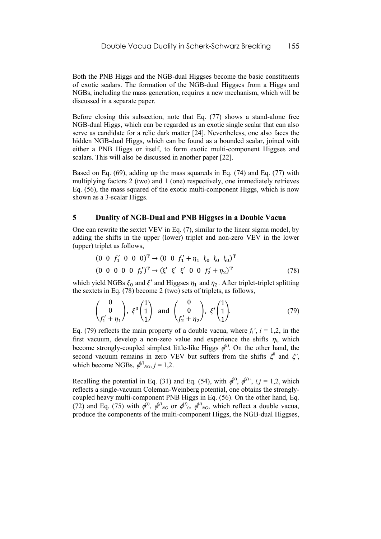Both the PNB Higgs and the NGB-dual Higgses become the basic constituents of exotic scalars. The formation of the NGB-dual Higgses from a Higgs and NGBs, including the mass generation, requires a new mechanism, which will be discussed in a separate paper.

Before closing this subsection, note that Eq. (77) shows a stand-alone free NGB-dual Higgs, which can be regarded as an exotic single scalar that can also serve as candidate for a relic dark matter [24]. Nevertheless, one also faces the hidden NGB-dual Higgs, which can be found as a bounded scalar, joined with either a PNB Higgs or itself, to form exotic multi-component Higgses and scalars. This will also be discussed in another paper [22].

Based on Eq. (69), adding up the mass squareds in Eq. (74) and Eq. (77) with multiplying factors 2 (two) and 1 (one) respectively, one immediately retrieves Eq. (56), the mass squared of the exotic multi-component Higgs, which is now shown as a 3-scalar Higgs.

### **5 Duality of NGB-Dual and PNB Higgses in a Double Vacua**

One can rewrite the sextet VEV in Eq. (7), similar to the linear sigma model, by adding the shifts in the upper (lower) triplet and non-zero VEV in the lower (upper) triplet as follows,

$$
(0 \t 0 \t f'_1 \t 0 \t 0 \t 0)^T \rightarrow (0 \t 0 \t f'_1 + \eta_1 \t \xi_0 \t \xi_0 \t \xi_0)^T
$$
  

$$
(0 \t 0 \t 0 \t 0 \t 0 \t f'_2)^T \rightarrow (\xi' \t \xi' \t \xi' \t 0 \t 0 \t f'_2 + \eta_2)^T
$$
 (78)

which yield NGBs  $\xi_0$  and  $\xi'$  and Higgses  $\eta_1$  and  $\eta_2$ . After triplet-triplet splitting the sextets in Eq. (78) become 2 (two) sets of triplets, as follows,

$$
\begin{pmatrix} 0 \\ 0 \\ f'_1 + \eta_1 \end{pmatrix}, \xi^0 \begin{pmatrix} 1 \\ 1 \\ 1 \end{pmatrix} \text{ and } \begin{pmatrix} 0 \\ 0 \\ f'_2 + \eta_2 \end{pmatrix}, \xi' \begin{pmatrix} 1 \\ 1 \\ 1 \end{pmatrix}.
$$
 (79)

Eq. (79) reflects the main property of a double vacua, where  $f_i$ ,  $i = 1,2$ , in the first vacuum, develop a non-zero value and experience the shifts  $\eta_i$ , which become strongly-coupled simplest little-like Higgs  $\phi^{(i)}$ . On the other hand, the second vacuum remains in zero VEV but suffers from the shifts  $\xi^0$  and  $\xi'$ , which become NGBs,  $\phi^{(j)}{}_{NG}, j = 1, 2$ .

Recalling the potential in Eq. (31) and Eq. (54), with  $\phi^{(i)}$ ,  $\phi^{(j)}$ , *i,j* = 1,2, which reflects a single-vacuum Coleman-Weinberg potential, one obtains the stronglycoupled heavy multi-component PNB Higgs in Eq. (56). On the other hand, Eq. (72) and Eq. (75) with  $\phi^{(i)}$ ,  $\phi^{(j)}{}_{NG}$  or  $\phi^{(i)}{}_{0}$ ,  $\phi^{(i)}{}_{NG}$ , which reflect a double vacua, produce the components of the multi-component Higgs, the NGB-dual Higgses,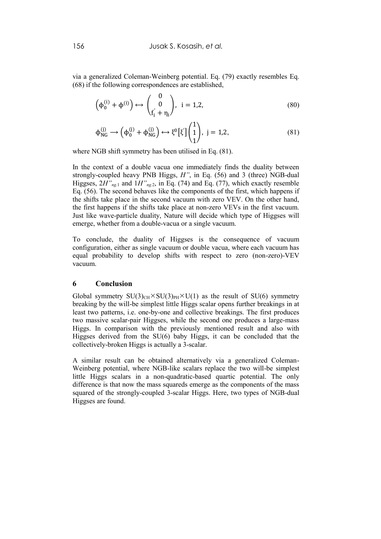via a generalized Coleman-Weinberg potential. Eq. (79) exactly resembles Eq. (68) if the following correspondences are established,

$$
\left(\Phi_0^{(i)} + \Phi^{(i)}\right) \leftrightarrow \begin{pmatrix} 0\\0\\f'_i + \eta_i \end{pmatrix}, \ i = 1, 2,
$$
\n(80)

$$
\Phi_{\rm NG}^{(j)} \longrightarrow \left(\Phi_0^{(j)} + \Phi_{\rm NG}^{(j)}\right) \longleftrightarrow \xi^0 \left[\xi'\right] \begin{pmatrix} 1\\1\\1 \end{pmatrix}, \ j = 1, 2,\tag{81}
$$

where NGB shift symmetry has been utilised in Eq. (81).

In the context of a double vacua one immediately finds the duality between strongly-coupled heavy PNB Higgs, *H"*, in Eq. (56) and 3 (three) NGB-dual Higgses, 2*H"ng.*<sup>1</sup> and 1*H"ng.*2, in Eq. (74) and Eq. (77), which exactly resemble Eq. (56). The second behaves like the components of the first, which happens if the shifts take place in the second vacuum with zero VEV. On the other hand, the first happens if the shifts take place at non-zero VEVs in the first vacuum. Just like wave-particle duality, Nature will decide which type of Higgses will emerge, whether from a double-vacua or a single vacuum.

To conclude, the duality of Higgses is the consequence of vacuum configuration, either as single vacuum or double vacua, where each vacuum has equal probability to develop shifts with respect to zero (non-zero)-VEV vacuum.

### **6 Conclusion**

Global symmetry  $SU(3)_{CH} \times SU(3)_{PH} \times U(1)$  as the result of  $SU(6)$  symmetry breaking by the will-be simplest little Higgs scalar opens further breakings in at least two patterns, i.e. one-by-one and collective breakings. The first produces two massive scalar-pair Higgses, while the second one produces a large-mass Higgs. In comparison with the previously mentioned result and also with Higgses derived from the SU(6) baby Higgs, it can be concluded that the collectively-broken Higgs is actually a 3-scalar.

A similar result can be obtained alternatively via a generalized Coleman-Weinberg potential, where NGB-like scalars replace the two will-be simplest little Higgs scalars in a non-quadratic-based quartic potential. The only difference is that now the mass squareds emerge as the components of the mass squared of the strongly-coupled 3-scalar Higgs. Here, two types of NGB-dual Higgses are found.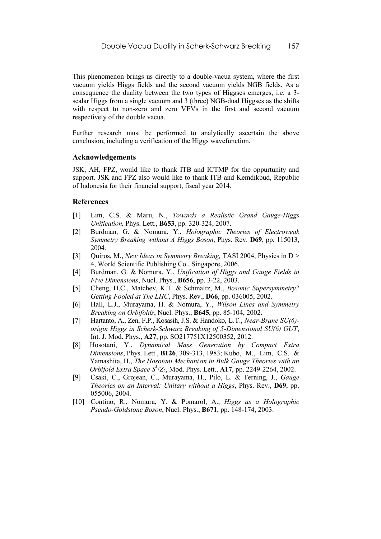This phenomenon brings us directly to a double-vacua system, where the first vacuum yields Higgs fields and the second vacuum yields NGB fields. As a consequence the duality between the two types of Higgses emerges, i.e. a 3 scalar Higgs from a single vacuum and 3 (three) NGB-dual Higgses as the shifts with respect to non-zero and zero VEVs in the first and second vacuum respectively of the double vacua.

Further research must be performed to analytically ascertain the above conclusion, including a verification of the Higgs wavefunction.

#### **Acknowledgements**

JSK, AH, FPZ, would like to thank ITB and ICTMP for the oppurtunity and support. JSK and FPZ also would like to thank ITB and Kemdikbud, Republic of Indonesia for their financial support, fiscal year 2014.

### **References**

- [1] Lim, C.S. & Maru, N., *Towards a Realistic Grand Gauge-Higgs Unification,* Phys. Lett., **B653**, pp. 320-324, 2007.
- [2] Burdman, G. & Nomura, Y., *Holographic Theories of Electroweak Symmetry Breaking without A Higgs Boson*, Phys. Rev. **D69**, pp. 115013, 2004.
- [3] Quiros, M., *New Ideas in Symmetry Breaking,* TASI 2004, Physics in D > 4, World Scientific Publishing Co., Singapore, 2006.
- [4] Burdman, G. & Nomura, Y., *Unification of Higgs and Gauge Fields in Five Dimensions*, Nucl. Phys., **B656**, pp. 3-22, 2003.
- [5] Cheng, H.C., Matchev, K.T. & Schmaltz, M., *Bosonic Supersymmetry? Getting Fooled at The LHC*, Phys. Rev., **D66**, pp. 036005, 2002.
- [6] Hall, L.J., Murayama, H. & Nomura, Y., *Wilson Lines and Symmetry Breaking on Orbifolds*, Nucl. Phys., **B645**, pp. 85-104, 2002.
- [7] Hartanto, A., Zen, F.P., Kosasih, J.S. & Handoko, L.T., *Near-Brane SU(6) origin Higgs in Scherk-Schwarz Breaking of 5-Dimensional SU(6) GUT*, Int. J. Mod. Phys., **A27**, pp. SO217751X12500352, 2012.
- [8] Hosotani, Y., *Dynamical Mass Generation by Compact Extra Dimensions*, Phys. Lett., **B126**, 309-313, 1983; Kubo, M., Lim, C.S. & Yamashita, H., *The Hosotani Mechanism in Bulk Gauge Theories with an Orbifold Extra Space S* 1 /*Z*2, Mod. Phys. Lett., **A17**, pp. 2249-2264, 2002.
- [9] Csaki, C., Grojean, C., Murayama, H., Pilo, L. & Terning, J., *Gauge Theories on an Interval: Unitary without a Higgs*, Phys. Rev., **D69**, pp. 055006, 2004.
- [10] Contino, R., Nomura, Y. & Pomarol, A., *Higgs as a Holographic Pseudo-Goldstone Boson*, Nucl. Phys., **B671**, pp. 148-174, 2003.